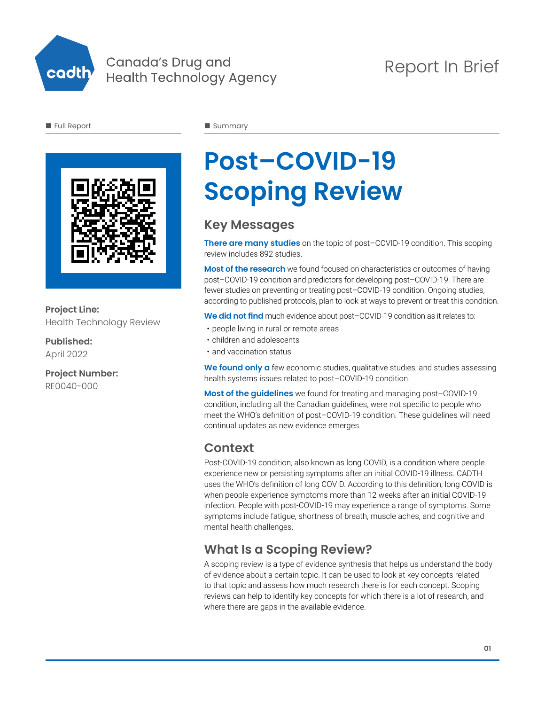

#### Canada's Drug and **Health Technology Agency**

## Report In Brief

**n** Full Report

Summary



#### **Project Line:** Health Technology Review

**Published:** April 2022

**Project Number:** RE0040-000

# **Post–COVID-19 Scoping Review**

## **Key Messages**

**There are many studies** on the topic of post–COVID-19 condition. This scoping review includes 892 studies.

**Most of the research** we found focused on characteristics or outcomes of having post–COVID-19 condition and predictors for developing post–COVID-19. There are fewer studies on preventing or treating post–COVID-19 condition. Ongoing studies, according to published protocols, plan to look at ways to prevent or treat this condition.

**We did not find** much evidence about post–COVID-19 condition as it relates to:

- people living in rural or remote areas
- children and adolescents
- and vaccination status.

We found only a few economic studies, qualitative studies, and studies assessing health systems issues related to post–COVID-19 condition.

**Most of the guidelines** we found for treating and managing post–COVID-19 condition, including all the Canadian guidelines, were not specific to people who meet the WHO's definition of post–COVID-19 condition. These guidelines will need continual updates as new evidence emerges.

## **Context**

Post-COVID-19 condition, also known as long COVID, is a condition where people experience new or persisting symptoms after an initial COVID-19 illness. CADTH uses the WHO's definition of long COVID. According to this definition, long COVID is when people experience symptoms more than 12 weeks after an initial COVID-19 infection. People with post-COVID-19 may experience a range of symptoms. Some symptoms include fatigue, shortness of breath, muscle aches, and cognitive and mental health challenges.

## **What Is a Scoping Review?**

A scoping review is a type of evidence synthesis that helps us understand the body of evidence about a certain topic. It can be used to look at key concepts related to that topic and assess how much research there is for each concept. Scoping reviews can help to identify key concepts for which there is a lot of research, and where there are gaps in the available evidence.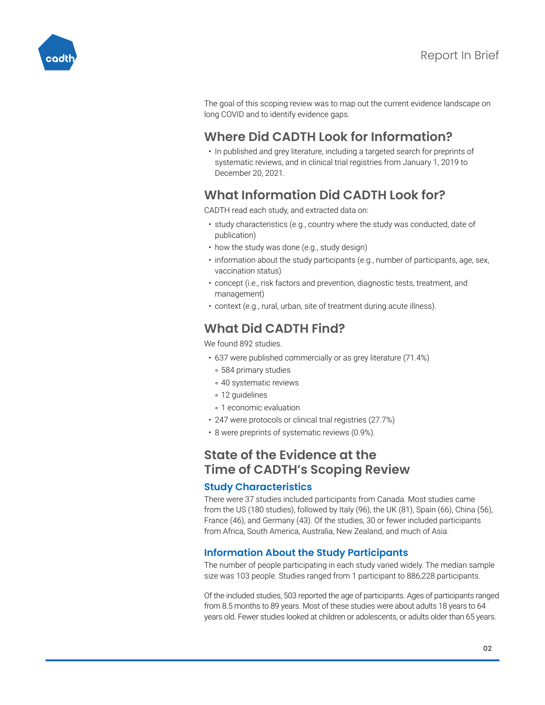

The goal of this scoping review was to map out the current evidence landscape on long COVID and to identify evidence gaps.

## **Where Did CADTH Look for Information?**

• In published and grey literature, including a targeted search for preprints of systematic reviews, and in clinical trial registries from January 1, 2019 to December 20, 2021.

## **What Information Did CADTH Look for?**

CADTH read each study, and extracted data on:

- study characteristics (e.g., country where the study was conducted, date of publication)
- how the study was done (e.g., study design)
- information about the study participants (e.g., number of participants, age, sex, vaccination status)
- concept (i.e., risk factors and prevention, diagnostic tests, treatment, and management)
- context (e.g., rural, urban, site of treatment during acute illness).

## **What Did CADTH Find?**

We found 892 studies.

- 637 were published commercially or as grey literature (71.4%)
	- 584 primary studies
	- 40 systematic reviews
	- 12 quidelines
- 1 economic evaluation
- 247 were protocols or clinical trial registries (27.7%)
- 8 were preprints of systematic reviews (0.9%).

#### **State of the Evidence at the Time of CADTH's Scoping Review**

#### **Study Characteristics**

There were 37 studies included participants from Canada. Most studies came from the US (180 studies), followed by Italy (96), the UK (81), Spain (66), China (56), France (46), and Germany (43). Of the studies, 30 or fewer included participants from Africa, South America, Australia, New Zealand, and much of Asia.

#### **Information About the Study Participants**

The number of people participating in each study varied widely. The median sample size was 103 people. Studies ranged from 1 participant to 886,228 participants.

Of the included studies, 503 reported the age of participants. Ages of participants ranged from 8.5 months to 89 years. Most of these studies were about adults 18 years to 64 years old. Fewer studies looked at children or adolescents, or adults older than 65 years.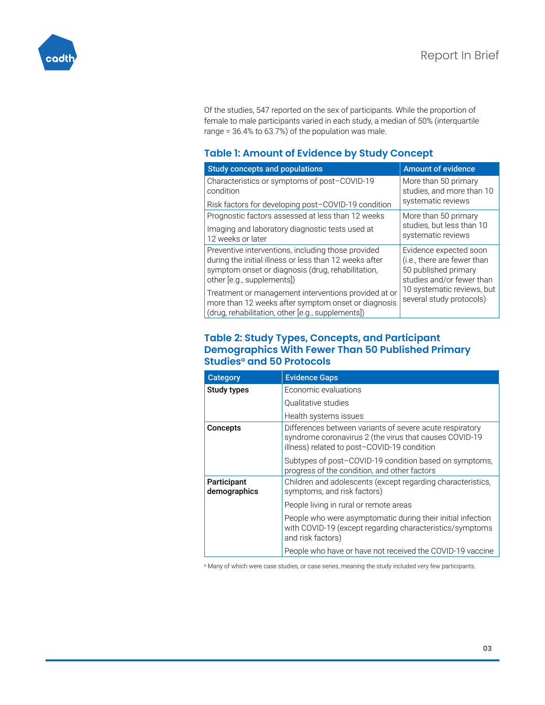

Of the studies, 547 reported on the sex of participants. While the proportion of female to male participants varied in each study, a median of 50% (interquartile range = 36.4% to 63.7%) of the population was male.

#### **Table 1: Amount of Evidence by Study Concept**

| <b>Study concepts and populations</b>                                                                                                                                                           | <b>Amount of evidence</b>                                                                                  |
|-------------------------------------------------------------------------------------------------------------------------------------------------------------------------------------------------|------------------------------------------------------------------------------------------------------------|
| Characteristics or symptoms of post-COVID-19<br>condition                                                                                                                                       | More than 50 primary<br>studies, and more than 10                                                          |
| Risk factors for developing post-COVID-19 condition                                                                                                                                             | systematic reviews                                                                                         |
| Prognostic factors assessed at less than 12 weeks                                                                                                                                               | More than 50 primary                                                                                       |
| Imaging and laboratory diagnostic tests used at<br>12 weeks or later                                                                                                                            | studies, but less than 10<br>systematic reviews                                                            |
| Preventive interventions, including those provided<br>during the initial illness or less than 12 weeks after<br>symptom onset or diagnosis (drug, rehabilitation,<br>other [e.g., supplements]) | Evidence expected soon<br>(i.e., there are fewer than<br>50 published primary<br>studies and/or fewer than |
| Treatment or management interventions provided at or<br>more than 12 weeks after symptom onset or diagnosis<br>(drug, rehabilitation, other [e.g., supplements])                                | 10 systematic reviews, but<br>several study protocols)                                                     |

#### **Table 2: Study Types, Concepts, and Participant Demographics With Fewer Than 50 Published Primary Studies<sup>a</sup> and 50 Protocols**

| <b>Category</b>             | <b>Evidence Gaps</b>                                                                                                                                              |
|-----------------------------|-------------------------------------------------------------------------------------------------------------------------------------------------------------------|
| Study types                 | Economic evaluations                                                                                                                                              |
|                             | Qualitative studies                                                                                                                                               |
|                             | Health systems issues                                                                                                                                             |
| <b>Concepts</b>             | Differences between variants of severe acute respiratory<br>syndrome coronavirus 2 (the virus that causes COVID-19<br>illness) related to post-COVID-19 condition |
|                             | Subtypes of post-COVID-19 condition based on symptoms,<br>progress of the condition, and other factors                                                            |
| Participant<br>demographics | Children and adolescents (except regarding characteristics,<br>symptoms, and risk factors)                                                                        |
|                             | People living in rural or remote areas                                                                                                                            |
|                             | People who were asymptomatic during their initial infection<br>with COVID-19 (except regarding characteristics/symptoms<br>and risk factors)                      |
|                             | People who have or have not received the COVID-19 vaccine                                                                                                         |

a Many of which were case studies, or case series, meaning the study included very few participants.